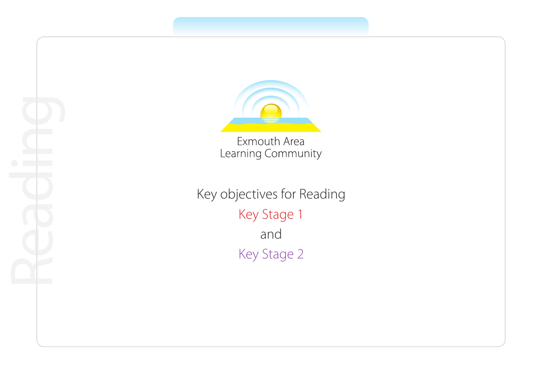

Learning Community

Key objectives for Reading Key Stage 1 and Key Stage 2

Reading<br>Reading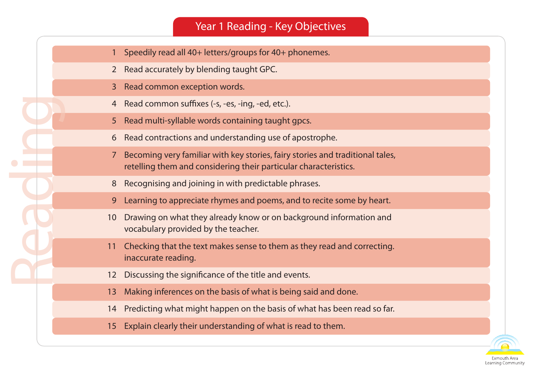## Year 1 Reading - Key Objectives

- 1 Speedily read all 40+ letters/groups for 40+ phonemes.
- 2 Read accurately by blending taught GPC.
- 3 Read common exception words.

- 4 Read common suffixes (-s, -es, -ing, -ed, etc.).
- 5 Read multi-syllable words containing taught gpcs.
- 6 Read contractions and understanding use of apostrophe.
- 7 Becoming very familiar with key stories, fairy stories and traditional tales, retelling them and considering their particular characteristics.
- 8 Recognising and joining in with predictable phrases.
- 9 Learning to appreciate rhymes and poems, and to recite some by heart.
- 10 Drawing on what they already know or on background information and vocabulary provided by the teacher.
- 11 Checking that the text makes sense to them as they read and correcting. inaccurate reading.
- 12 Discussing the significance of the title and events.
- 13 Making inferences on the basis of what is being said and done.
- 14 Predicting what might happen on the basis of what has been read so far.
- 15 Explain clearly their understanding of what is read to them.

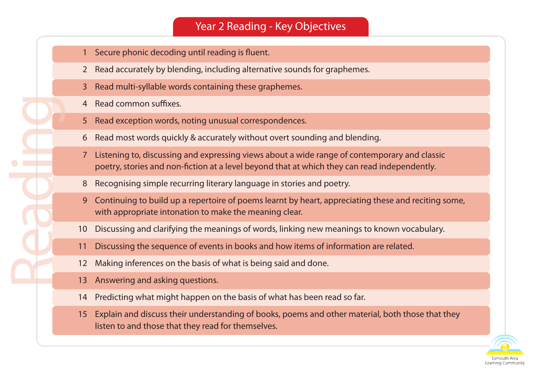## Year 2 Reading - Key Objectives

- 1 Secure phonic decoding until reading is fluent.
- 2 Read accurately by blending, including alternative sounds for graphemes.
- 3 Read multi-syllable words containing these graphemes.
- 4 Read common suffixes.

- 5 Read exception words, noting unusual correspondences.
- 6 Read most words quickly & accurately without overt sounding and blending.
- 7 Listening to, discussing and expressing views about a wide range of contemporary and classic poetry, stories and non-fiction at a level beyond that at which they can read independently.
- 8 Recognising simple recurring literary language in stories and poetry.
- 9 Continuing to build up a repertoire of poems learnt by heart, appreciating these and reciting some, with appropriate intonation to make the meaning clear.
- 10 Discussing and clarifying the meanings of words, linking new meanings to known vocabulary.
- 11 Discussing the sequence of events in books and how items of information are related.
- 12 Making inferences on the basis of what is being said and done.
- 13 Answering and asking questions.
- 14 Predicting what might happen on the basis of what has been read so far.
- 15 Explain and discuss their understanding of books, poems and other material, both those that they listen to and those that they read for themselves.

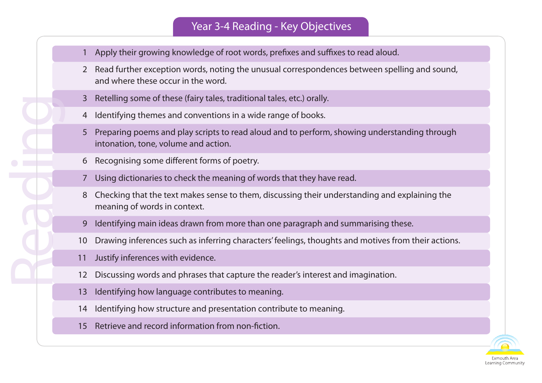## Year 3-4 Reading - Key Objectives

- 1 Apply their growing knowledge of root words, prefixes and suffixes to read aloud.
- 2 Read further exception words, noting the unusual correspondences between spelling and sound, and where these occur in the word.
- 3 Retelling some of these (fairy tales, traditional tales, etc.) orally.
- 4 Identifying themes and conventions in a wide range of books.
- 5 Preparing poems and play scripts to read aloud and to perform, showing understanding through intonation, tone, volume and action.
- 6 Recognising some different forms of poetry.
- 7 Using dictionaries to check the meaning of words that they have read.
- 8 Checking that the text makes sense to them, discussing their understanding and explaining the meaning of words in context.
- 9 Identifying main ideas drawn from more than one paragraph and summarising these.
- 10 Drawing inferences such as inferring characters' feelings, thoughts and motives from their actions.
- 11 Justify inferences with evidence.

- 12 Discussing words and phrases that capture the reader's interest and imagination.
- 13 Identifying how language contributes to meaning.
- 14 Identifying how structure and presentation contribute to meaning.
- 15 Retrieve and record information from non-fiction.